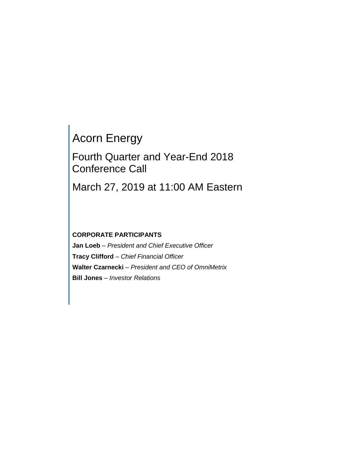# Acorn Energy

# Fourth Quarter and Year-End 2018 Conference Call

March 27, 2019 at 11:00 AM Eastern

# **CORPORATE PARTICIPANTS**

**Jan Loeb** *– President and Chief Executive Officer* **Tracy Clifford** *– Chief Financial Officer* **Walter Czarnecki** *– President and CEO of OmniMetrix* **Bill Jones** *– Investor Relations*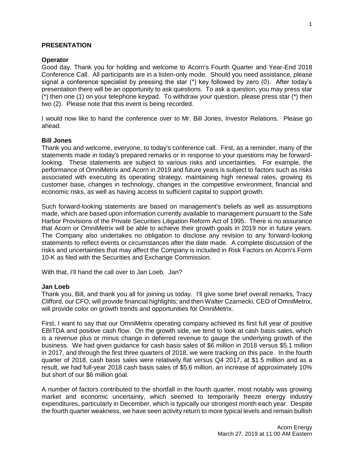# **PRESENTATION**

# **Operator**

Good day. Thank you for holding and welcome to Acorn's Fourth Quarter and Year-End 2018 Conference Call. All participants are in a listen-only mode. Should you need assistance, please signal a conference specialist by pressing the star (\*) key followed by zero (0). After today's presentation there will be an opportunity to ask questions. To ask a question, you may press star  $(*)$  then one (1) on your telephone keypad. To withdraw your question, please press star  $(*)$  then two (2). Please note that this event is being recorded.

I would now like to hand the conference over to Mr. Bill Jones, Investor Relations. Please go ahead.

# **Bill Jones**

Thank you and welcome, everyone, to today's conference call. First, as a reminder, many of the statements made in today's prepared remarks or in response to your questions may be forwardlooking. These statements are subject to various risks and uncertainties. For example, the performance of OmniMetrix and Acorn in 2019 and future years is subject to factors such as risks associated with executing its operating strategy, maintaining high renewal rates, growing its customer base, changes in technology, changes in the competitive environment, financial and economic risks, as well as having access to sufficient capital to support growth.

Such forward-looking statements are based on management's beliefs as well as assumptions made, which are based upon information currently available to management pursuant to the Safe Harbor Provisions of the Private Securities Litigation Reform Act of 1995. There is no assurance that Acorn or OmniMetrix will be able to achieve their growth goals in 2019 nor in future years. The Company also undertakes no obligation to disclose any revision to any forward-looking statements to reflect events or circumstances after the date made. A complete discussion of the risks and uncertainties that may affect the Company is included in Risk Factors on Acorn's Form 10-K as filed with the Securities and Exchange Commission.

With that, I'll hand the call over to Jan Loeb. Jan?

# **Jan Loeb**

Thank you, Bill, and thank you all for joining us today. I'll give some brief overall remarks, Tracy Clifford, our CFO, will provide financial highlights; and then Walter Czarnecki, CEO of OmniMetrix, will provide color on growth trends and opportunities for OmniMetrix.

First, I want to say that our OmniMetrix operating company achieved its first full year of positive EBITDA and positive cash flow. On the growth side, we tend to look at cash basis sales, which is a revenue plus or minus change in deferred revenue to gauge the underlying growth of the business. We had given guidance for cash basis sales of \$6 million in 2018 versus \$5.1 million in 2017, and through the first three quarters of 2018, we were tracking on this pace. In the fourth quarter of 2018, cash basis sales were relatively flat versus Q4 2017, at \$1.5 million and as a result, we had full-year 2018 cash basis sales of \$5.6 million, an increase of approximately 10% but short of our \$6 million goal.

A number of factors contributed to the shortfall in the fourth quarter, most notably was growing market and economic uncertainty, which seemed to temporarily freeze energy industry expenditures, particularly in December, which is typically our strongest month each year. Despite the fourth quarter weakness, we have seen activity return to more typical levels and remain bullish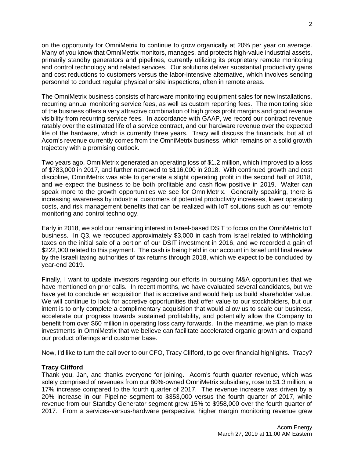on the opportunity for OmniMetrix to continue to grow organically at 20% per year on average. Many of you know that OmniMetrix monitors, manages, and protects high-value industrial assets, primarily standby generators and pipelines, currently utilizing its proprietary remote monitoring and control technology and related services. Our solutions deliver substantial productivity gains and cost reductions to customers versus the labor-intensive alternative, which involves sending personnel to conduct regular physical onsite inspections, often in remote areas.

The OmniMetrix business consists of hardware monitoring equipment sales for new installations, recurring annual monitoring service fees, as well as custom reporting fees. The monitoring side of the business offers a very attractive combination of high gross profit margins and good revenue visibility from recurring service fees. In accordance with GAAP, we record our contract revenue ratably over the estimated life of a service contract, and our hardware revenue over the expected life of the hardware, which is currently three years. Tracy will discuss the financials, but all of Acorn's revenue currently comes from the OmniMetrix business, which remains on a solid growth trajectory with a promising outlook.

Two years ago, OmniMetrix generated an operating loss of \$1.2 million, which improved to a loss of \$783,000 in 2017, and further narrowed to \$116,000 in 2018. With continued growth and cost discipline, OmniMetrix was able to generate a slight operating profit in the second half of 2018, and we expect the business to be both profitable and cash flow positive in 2019. Walter can speak more to the growth opportunities we see for OmniMetrix. Generally speaking, there is increasing awareness by industrial customers of potential productivity increases, lower operating costs, and risk management benefits that can be realized with IoT solutions such as our remote monitoring and control technology.

Early in 2018, we sold our remaining interest in Israel-based DSIT to focus on the OmniMetrix IoT business. In Q3, we recouped approximately \$3,000 in cash from Israel related to withholding taxes on the initial sale of a portion of our DSIT investment in 2016, and we recorded a gain of \$222,000 related to this payment. The cash is being held in our account in Israel until final review by the Israeli taxing authorities of tax returns through 2018, which we expect to be concluded by year-end 2019.

Finally, I want to update investors regarding our efforts in pursuing M&A opportunities that we have mentioned on prior calls. In recent months, we have evaluated several candidates, but we have yet to conclude an acquisition that is accretive and would help us build shareholder value. We will continue to look for accretive opportunities that offer value to our stockholders, but our intent is to only complete a complimentary acquisition that would allow us to scale our business, accelerate our progress towards sustained profitability, and potentially allow the Company to benefit from over \$60 million in operating loss carry forwards. In the meantime, we plan to make investments in OmniMetrix that we believe can facilitate accelerated organic growth and expand our product offerings and customer base.

Now, I'd like to turn the call over to our CFO, Tracy Clifford, to go over financial highlights. Tracy?

# **Tracy Clifford**

Thank you, Jan, and thanks everyone for joining. Acorn's fourth quarter revenue, which was solely comprised of revenues from our 80%-owned OmniMetrix subsidiary, rose to \$1.3 million, a 17% increase compared to the fourth quarter of 2017. The revenue increase was driven by a 20% increase in our Pipeline segment to \$353,000 versus the fourth quarter of 2017, while revenue from our Standby Generator segment grew 15% to \$958,000 over the fourth quarter of 2017. From a services-versus-hardware perspective, higher margin monitoring revenue grew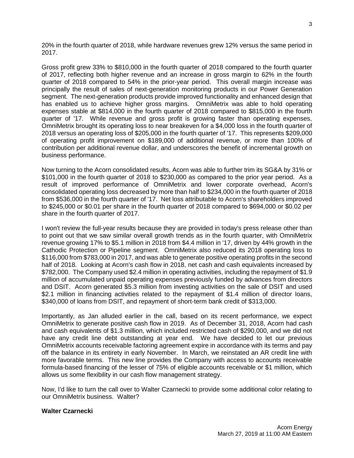20% in the fourth quarter of 2018, while hardware revenues grew 12% versus the same period in 2017.

Gross profit grew 33% to \$810,000 in the fourth quarter of 2018 compared to the fourth quarter of 2017, reflecting both higher revenue and an increase in gross margin to 62% in the fourth quarter of 2018 compared to 54% in the prior-year period. This overall margin increase was principally the result of sales of next-generation monitoring products in our Power Generation segment. The next-generation products provide improved functionality and enhanced design that has enabled us to achieve higher gross margins. OmniMetrix was able to hold operating expenses stable at \$814,000 in the fourth quarter of 2018 compared to \$815,000 in the fourth quarter of '17. While revenue and gross profit is growing faster than operating expenses, OmniMetrix brought its operating loss to near breakeven for a \$4,000 loss in the fourth quarter of 2018 versus an operating loss of \$205,000 in the fourth quarter of '17. This represents \$209,000 of operating profit improvement on \$189,000 of additional revenue, or more than 100% of contribution per additional revenue dollar, and underscores the benefit of incremental growth on business performance.

Now turning to the Acorn consolidated results, Acorn was able to further trim its SG&A by 31% or \$101,000 in the fourth quarter of 2018 to \$230,000 as compared to the prior year period. As a result of improved performance of OmniMetrix and lower corporate overhead, Acorn's consolidated operating loss decreased by more than half to \$234,000 in the fourth quarter of 2018 from \$536,000 in the fourth quarter of '17. Net loss attributable to Acorn's shareholders improved to \$245,000 or \$0.01 per share in the fourth quarter of 2018 compared to \$694,000 or \$0.02 per share in the fourth quarter of 2017.

I won't review the full-year results because they are provided in today's press release other than to point out that we saw similar overall growth trends as in the fourth quarter, with OmniMetrix revenue growing 17% to \$5.1 million in 2018 from \$4.4 million in '17, driven by 44% growth in the Cathodic Protection or Pipeline segment. OmniMetrix also reduced its 2018 operating loss to \$116,000 from \$783,000 in 2017, and was able to generate positive operating profits in the second half of 2018. Looking at Acorn's cash flow in 2018, net cash and cash equivalents increased by \$782,000. The Company used \$2.4 million in operating activities, including the repayment of \$1.9 million of accumulated unpaid operating expenses previously funded by advances from directors and DSIT. Acorn generated \$5.3 million from investing activities on the sale of DSIT and used \$2.1 million in financing activities related to the repayment of \$1.4 million of director loans, \$340,000 of loans from DSIT, and repayment of short-term bank credit of \$313,000.

Importantly, as Jan alluded earlier in the call, based on its recent performance, we expect OmniMetrix to generate positive cash flow in 2019. As of December 31, 2018, Acorn had cash and cash equivalents of \$1.3 million, which included restricted cash of \$290,000, and we did not have any credit line debt outstanding at year end. We have decided to let our previous OmniMetrix accounts receivable factoring agreement expire in accordance with its terms and pay off the balance in its entirety in early November. In March, we reinstated an AR credit line with more favorable terms. This new line provides the Company with access to accounts receivable formula-based financing of the lesser of 75% of eligible accounts receivable or \$1 million, which allows us some flexibility in our cash flow management strategy.

Now, I'd like to turn the call over to Walter Czarnecki to provide some additional color relating to our OmniMetrix business. Walter?

# **Walter Czarnecki**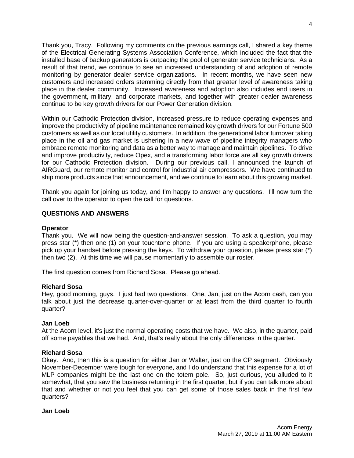Thank you, Tracy. Following my comments on the previous earnings call, I shared a key theme of the Electrical Generating Systems Association Conference, which included the fact that the installed base of backup generators is outpacing the pool of generator service technicians. As a result of that trend, we continue to see an increased understanding of and adoption of remote monitoring by generator dealer service organizations. In recent months, we have seen new customers and increased orders stemming directly from that greater level of awareness taking place in the dealer community. Increased awareness and adoption also includes end users in the government, military, and corporate markets, and together with greater dealer awareness continue to be key growth drivers for our Power Generation division.

Within our Cathodic Protection division, increased pressure to reduce operating expenses and improve the productivity of pipeline maintenance remained key growth drivers for our Fortune 500 customers as well as our local utility customers. In addition, the generational labor turnover taking place in the oil and gas market is ushering in a new wave of pipeline integrity managers who embrace remote monitoring and data as a better way to manage and maintain pipelines. To drive and improve productivity, reduce Opex, and a transforming labor force are all key growth drivers for our Cathodic Protection division. During our previous call, I announced the launch of AIRGuard, our remote monitor and control for industrial air compressors. We have continued to ship more products since that announcement, and we continue to learn about this growing market.

Thank you again for joining us today, and I'm happy to answer any questions. I'll now turn the call over to the operator to open the call for questions.

# **QUESTIONS AND ANSWERS**

# **Operator**

Thank you. We will now being the question-and-answer session. To ask a question, you may press star (\*) then one (1) on your touchtone phone. If you are using a speakerphone, please pick up your handset before pressing the keys. To withdraw your question, please press star (\*) then two (2). At this time we will pause momentarily to assemble our roster.

The first question comes from Richard Sosa. Please go ahead.

#### **Richard Sosa**

Hey, good morning, guys. I just had two questions. One, Jan, just on the Acorn cash, can you talk about just the decrease quarter-over-quarter or at least from the third quarter to fourth quarter?

# **Jan Loeb**

At the Acorn level, it's just the normal operating costs that we have. We also, in the quarter, paid off some payables that we had. And, that's really about the only differences in the quarter.

# **Richard Sosa**

Okay. And, then this is a question for either Jan or Walter, just on the CP segment. Obviously November-December were tough for everyone, and I do understand that this expense for a lot of MLP companies might be the last one on the totem pole. So, just curious, you alluded to it somewhat, that you saw the business returning in the first quarter, but if you can talk more about that and whether or not you feel that you can get some of those sales back in the first few quarters?

#### **Jan Loeb**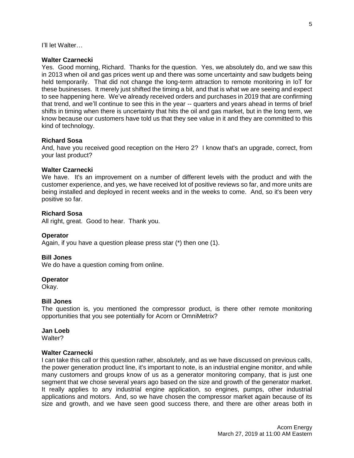I'll let Walter…

# **Walter Czarnecki**

Yes. Good morning, Richard. Thanks for the question. Yes, we absolutely do, and we saw this in 2013 when oil and gas prices went up and there was some uncertainty and saw budgets being held temporarily. That did not change the long-term attraction to remote monitoring in IoT for these businesses. It merely just shifted the timing a bit, and that is what we are seeing and expect to see happening here. We've already received orders and purchases in 2019 that are confirming that trend, and we'll continue to see this in the year -- quarters and years ahead in terms of brief shifts in timing when there is uncertainty that hits the oil and gas market, but in the long term, we know because our customers have told us that they see value in it and they are committed to this kind of technology.

# **Richard Sosa**

And, have you received good reception on the Hero 2? I know that's an upgrade, correct, from your last product?

# **Walter Czarnecki**

We have. It's an improvement on a number of different levels with the product and with the customer experience, and yes, we have received lot of positive reviews so far, and more units are being installed and deployed in recent weeks and in the weeks to come. And, so it's been very positive so far.

# **Richard Sosa**

All right, great. Good to hear. Thank you.

# **Operator**

Again, if you have a question please press star (\*) then one (1).

# **Bill Jones**

We do have a question coming from online.

# **Operator**

Okay.

# **Bill Jones**

The question is, you mentioned the compressor product, is there other remote monitoring opportunities that you see potentially for Acorn or OmniMetrix?

# **Jan Loeb**

Walter?

# **Walter Czarnecki**

I can take this call or this question rather, absolutely, and as we have discussed on previous calls, the power generation product line, it's important to note, is an industrial engine monitor, and while many customers and groups know of us as a generator monitoring company, that is just one segment that we chose several years ago based on the size and growth of the generator market. It really applies to any industrial engine application, so engines, pumps, other industrial applications and motors. And, so we have chosen the compressor market again because of its size and growth, and we have seen good success there, and there are other areas both in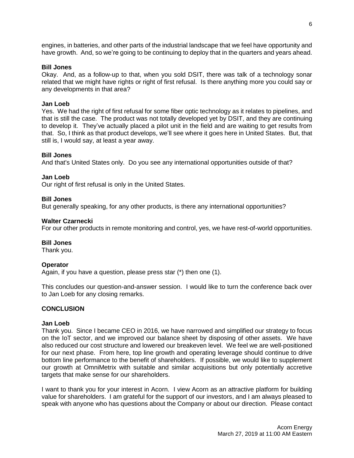engines, in batteries, and other parts of the industrial landscape that we feel have opportunity and have growth. And, so we're going to be continuing to deploy that in the quarters and years ahead.

#### **Bill Jones**

Okay. And, as a follow-up to that, when you sold DSIT, there was talk of a technology sonar related that we might have rights or right of first refusal. Is there anything more you could say or any developments in that area?

#### **Jan Loeb**

Yes. We had the right of first refusal for some fiber optic technology as it relates to pipelines, and that is still the case. The product was not totally developed yet by DSIT, and they are continuing to develop it. They've actually placed a pilot unit in the field and are waiting to get results from that. So, I think as that product develops, we'll see where it goes here in United States. But, that still is, I would say, at least a year away.

#### **Bill Jones**

And that's United States only. Do you see any international opportunities outside of that?

#### **Jan Loeb**

Our right of first refusal is only in the United States.

#### **Bill Jones**

But generally speaking, for any other products, is there any international opportunities?

#### **Walter Czarnecki**

For our other products in remote monitoring and control, yes, we have rest-of-world opportunities.

#### **Bill Jones**

Thank you.

# **Operator**

Again, if you have a question, please press star (\*) then one (1).

This concludes our question-and-answer session. I would like to turn the conference back over to Jan Loeb for any closing remarks.

# **CONCLUSION**

#### **Jan Loeb**

Thank you. Since I became CEO in 2016, we have narrowed and simplified our strategy to focus on the IoT sector, and we improved our balance sheet by disposing of other assets. We have also reduced our cost structure and lowered our breakeven level. We feel we are well-positioned for our next phase. From here, top line growth and operating leverage should continue to drive bottom line performance to the benefit of shareholders. If possible, we would like to supplement our growth at OmniMetrix with suitable and similar acquisitions but only potentially accretive targets that make sense for our shareholders.

I want to thank you for your interest in Acorn. I view Acorn as an attractive platform for building value for shareholders. I am grateful for the support of our investors, and I am always pleased to speak with anyone who has questions about the Company or about our direction. Please contact